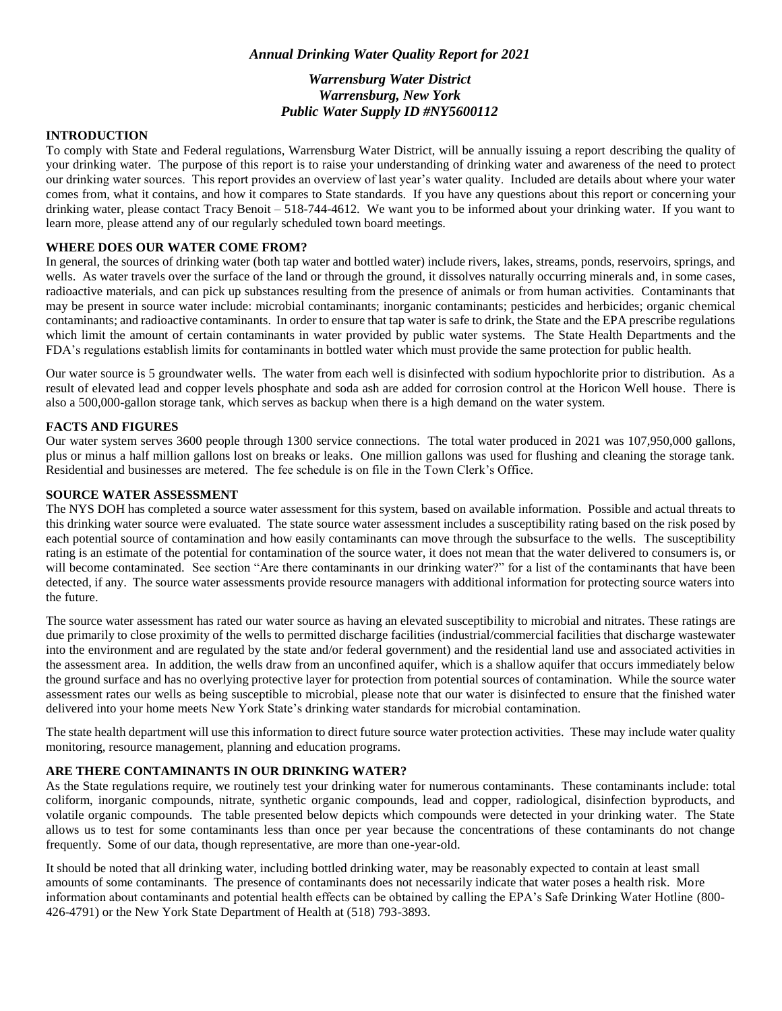### *Annual Drinking Water Quality Report for 2021*

## *Warrensburg Water District Warrensburg, New York Public Water Supply ID #NY5600112*

#### **INTRODUCTION**

To comply with State and Federal regulations, Warrensburg Water District, will be annually issuing a report describing the quality of your drinking water. The purpose of this report is to raise your understanding of drinking water and awareness of the need to protect our drinking water sources. This report provides an overview of last year's water quality. Included are details about where your water comes from, what it contains, and how it compares to State standards. If you have any questions about this report or concerning your drinking water, please contact Tracy Benoit – 518-744-4612. We want you to be informed about your drinking water. If you want to learn more, please attend any of our regularly scheduled town board meetings.

#### **WHERE DOES OUR WATER COME FROM?**

In general, the sources of drinking water (both tap water and bottled water) include rivers, lakes, streams, ponds, reservoirs, springs, and wells. As water travels over the surface of the land or through the ground, it dissolves naturally occurring minerals and, in some cases, radioactive materials, and can pick up substances resulting from the presence of animals or from human activities. Contaminants that may be present in source water include: microbial contaminants; inorganic contaminants; pesticides and herbicides; organic chemical contaminants; and radioactive contaminants. In order to ensure that tap water is safe to drink, the State and the EPA prescribe regulations which limit the amount of certain contaminants in water provided by public water systems. The State Health Departments and the FDA's regulations establish limits for contaminants in bottled water which must provide the same protection for public health.

Our water source is 5 groundwater wells. The water from each well is disinfected with sodium hypochlorite prior to distribution. As a result of elevated lead and copper levels phosphate and soda ash are added for corrosion control at the Horicon Well house. There is also a 500,000-gallon storage tank, which serves as backup when there is a high demand on the water system.

#### **FACTS AND FIGURES**

Our water system serves 3600 people through 1300 service connections. The total water produced in 2021 was 107,950,000 gallons, plus or minus a half million gallons lost on breaks or leaks. One million gallons was used for flushing and cleaning the storage tank. Residential and businesses are metered. The fee schedule is on file in the Town Clerk's Office.

#### **SOURCE WATER ASSESSMENT**

The NYS DOH has completed a source water assessment for this system, based on available information. Possible and actual threats to this drinking water source were evaluated. The state source water assessment includes a susceptibility rating based on the risk posed by each potential source of contamination and how easily contaminants can move through the subsurface to the wells. The susceptibility rating is an estimate of the potential for contamination of the source water, it does not mean that the water delivered to consumers is, or will become contaminated. See section "Are there contaminants in our drinking water?" for a list of the contaminants that have been detected, if any. The source water assessments provide resource managers with additional information for protecting source waters into the future.

The source water assessment has rated our water source as having an elevated susceptibility to microbial and nitrates. These ratings are due primarily to close proximity of the wells to permitted discharge facilities (industrial/commercial facilities that discharge wastewater into the environment and are regulated by the state and/or federal government) and the residential land use and associated activities in the assessment area. In addition, the wells draw from an unconfined aquifer, which is a shallow aquifer that occurs immediately below the ground surface and has no overlying protective layer for protection from potential sources of contamination. While the source water assessment rates our wells as being susceptible to microbial, please note that our water is disinfected to ensure that the finished water delivered into your home meets New York State's drinking water standards for microbial contamination.

The state health department will use this information to direct future source water protection activities. These may include water quality monitoring, resource management, planning and education programs.

### **ARE THERE CONTAMINANTS IN OUR DRINKING WATER?**

As the State regulations require, we routinely test your drinking water for numerous contaminants. These contaminants include: total coliform, inorganic compounds, nitrate, synthetic organic compounds, lead and copper, radiological, disinfection byproducts, and volatile organic compounds. The table presented below depicts which compounds were detected in your drinking water. The State allows us to test for some contaminants less than once per year because the concentrations of these contaminants do not change frequently. Some of our data, though representative, are more than one-year-old.

It should be noted that all drinking water, including bottled drinking water, may be reasonably expected to contain at least small amounts of some contaminants. The presence of contaminants does not necessarily indicate that water poses a health risk. More information about contaminants and potential health effects can be obtained by calling the EPA's Safe Drinking Water Hotline (800- 426-4791) or the New York State Department of Health at (518) 793-3893.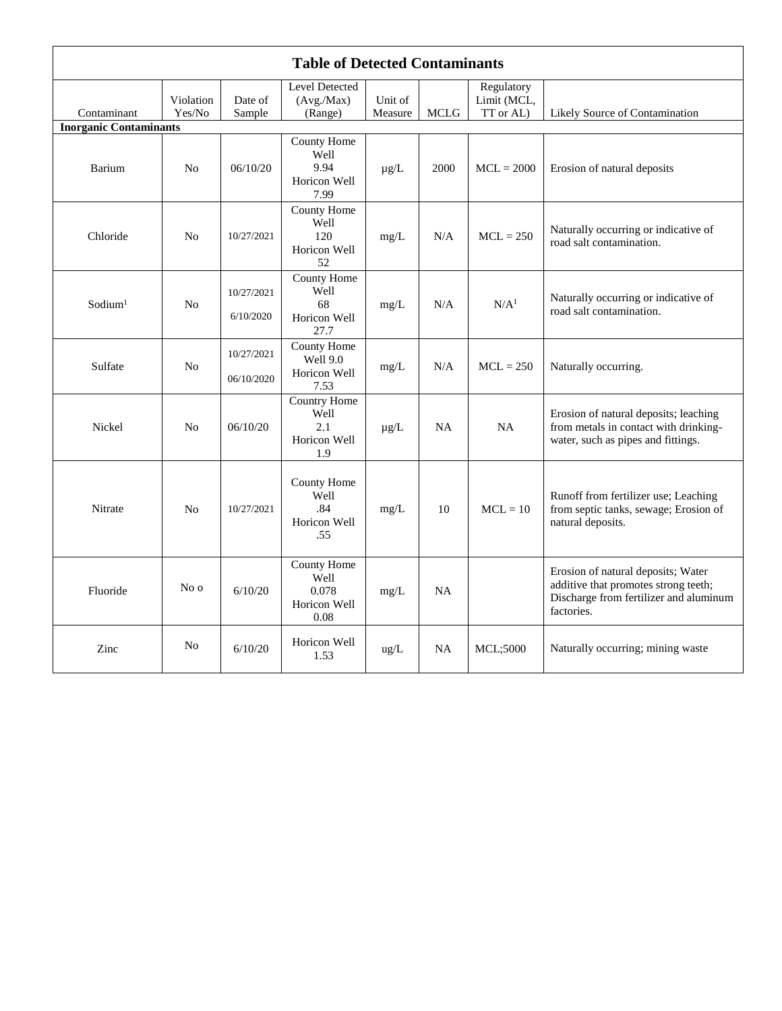| <b>Table of Detected Contaminants</b>        |                     |                          |                                                           |                    |             |                                        |                                                                                                                                    |  |  |  |
|----------------------------------------------|---------------------|--------------------------|-----------------------------------------------------------|--------------------|-------------|----------------------------------------|------------------------------------------------------------------------------------------------------------------------------------|--|--|--|
| Contaminant                                  | Violation<br>Yes/No | Date of<br>Sample        | <b>Level Detected</b><br>(Avg./Max)<br>(Range)            | Unit of<br>Measure | <b>MCLG</b> | Regulatory<br>Limit (MCL,<br>TT or AL) | Likely Source of Contamination                                                                                                     |  |  |  |
| <b>Inorganic Contaminants</b><br>County Home |                     |                          |                                                           |                    |             |                                        |                                                                                                                                    |  |  |  |
| Barium                                       | No                  | 06/10/20                 | Well<br>9.94<br>Horicon Well<br>7.99                      | $\mu$ g/L          | 2000        | $MCL = 2000$                           | Erosion of natural deposits                                                                                                        |  |  |  |
| Chloride                                     | No                  | 10/27/2021               | County Home<br>Well<br>120<br>Horicon Well<br>52          | mg/L               | N/A         | $MCL = 250$                            | Naturally occurring or indicative of<br>road salt contamination.                                                                   |  |  |  |
| Sodium <sup>1</sup>                          | No                  | 10/27/2021<br>6/10/2020  | County Home<br>Well<br>68<br>Horicon Well<br>27.7         | mg/L               | N/A         | N/A <sup>1</sup>                       | Naturally occurring or indicative of<br>road salt contamination.                                                                   |  |  |  |
| Sulfate                                      | No                  | 10/27/2021<br>06/10/2020 | County Home<br>Well 9.0<br>Horicon Well<br>7.53           | mg/L               | N/A         | $MCL = 250$                            | Naturally occurring.                                                                                                               |  |  |  |
| Nickel                                       | N <sub>0</sub>      | 06/10/20                 | <b>Country Home</b><br>Well<br>2.1<br>Horicon Well<br>1.9 | $\mu$ g/L          | <b>NA</b>   | <b>NA</b>                              | Erosion of natural deposits; leaching<br>from metals in contact with drinking-<br>water, such as pipes and fittings.               |  |  |  |
| Nitrate                                      | N <sub>o</sub>      | 10/27/2021               | County Home<br>Well<br>.84<br>Horicon Well<br>.55         | mg/L               | 10          | $MCL = 10$                             | Runoff from fertilizer use; Leaching<br>from septic tanks, sewage; Erosion of<br>natural deposits.                                 |  |  |  |
| Fluoride                                     | No o                | 6/10/20                  | County Home<br>Well<br>0.078<br>Horicon Well<br>0.08      | mg/L               | <b>NA</b>   |                                        | Erosion of natural deposits; Water<br>additive that promotes strong teeth;<br>Discharge from fertilizer and aluminum<br>factories. |  |  |  |
| Zinc                                         | N <sub>o</sub>      | 6/10/20                  | Horicon Well<br>1.53                                      | $\text{ug/L}$      | <b>NA</b>   | <b>MCL</b> ;5000                       | Naturally occurring; mining waste                                                                                                  |  |  |  |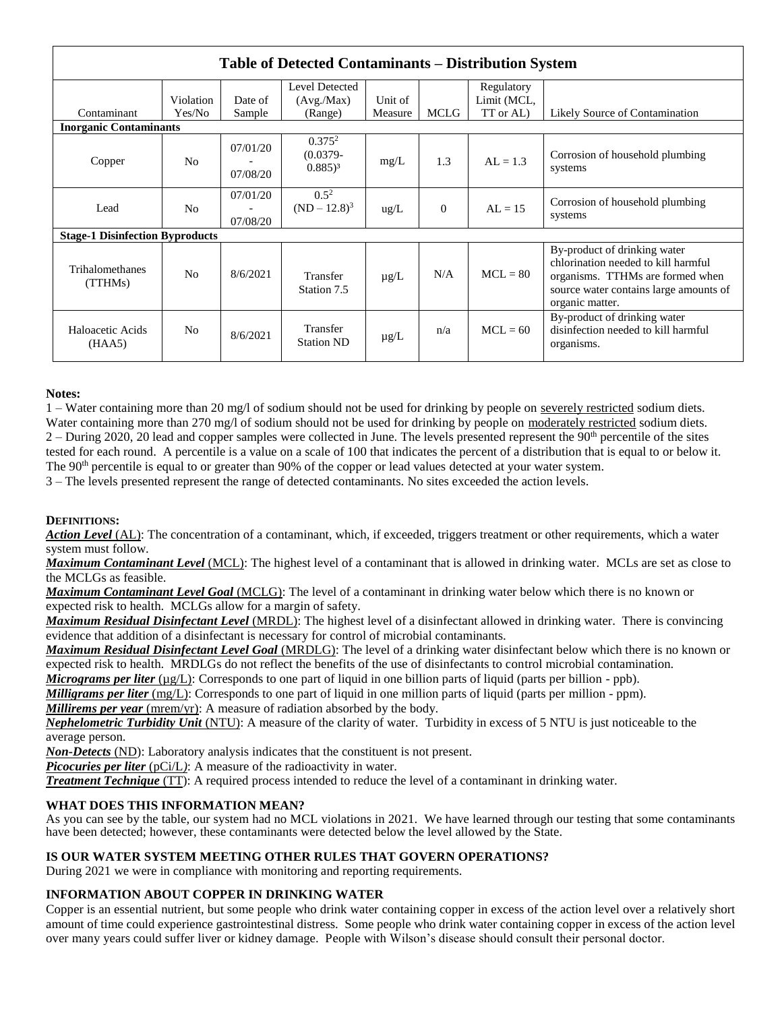| <b>Table of Detected Contaminants – Distribution System</b> |                |                      |                                                  |               |          |             |                                                                                                                                                                      |  |  |  |  |
|-------------------------------------------------------------|----------------|----------------------|--------------------------------------------------|---------------|----------|-------------|----------------------------------------------------------------------------------------------------------------------------------------------------------------------|--|--|--|--|
|                                                             |                |                      | Level Detected                                   |               |          | Regulatory  |                                                                                                                                                                      |  |  |  |  |
|                                                             | Violation      | Date of              | (Avg./Max)                                       | Unit of       |          | Limit (MCL, |                                                                                                                                                                      |  |  |  |  |
| Contaminant                                                 | Yes/No         | Sample               | (Range)                                          | Measure       | MCLG     | TT or AL)   | Likely Source of Contamination                                                                                                                                       |  |  |  |  |
| <b>Inorganic Contaminants</b>                               |                |                      |                                                  |               |          |             |                                                                                                                                                                      |  |  |  |  |
| Copper                                                      | N <sub>0</sub> | 07/01/20<br>07/08/20 | $0.375^2$<br>$(0.0379 -$<br>$0.885$ <sup>3</sup> | mg/L          | 1.3      | $AL = 1.3$  | Corrosion of household plumbing<br>systems                                                                                                                           |  |  |  |  |
| Lead                                                        | No             | 07/01/20<br>07/08/20 | $0.5^2$<br>$(ND - 12.8)^3$                       | $\text{ug/L}$ | $\theta$ | $AL = 15$   | Corrosion of household plumbing<br>systems                                                                                                                           |  |  |  |  |
| <b>Stage-1 Disinfection Byproducts</b>                      |                |                      |                                                  |               |          |             |                                                                                                                                                                      |  |  |  |  |
| Trihalomethanes<br>(TTHMs)                                  | N <sub>0</sub> | 8/6/2021             | Transfer<br>Station 7.5                          | $\mu$ g/L     | N/A      | $MCL = 80$  | By-product of drinking water<br>chlorination needed to kill harmful<br>organisms. TTHMs are formed when<br>source water contains large amounts of<br>organic matter. |  |  |  |  |
| Haloacetic Acids<br>(HAA5)                                  | N <sub>o</sub> | 8/6/2021             | Transfer<br>Station ND                           | $\mu$ g/L     | n/a      | $MCL = 60$  | By-product of drinking water<br>disinfection needed to kill harmful<br>organisms.                                                                                    |  |  |  |  |

## **Notes:**

1 – Water containing more than 20 mg/l of sodium should not be used for drinking by people on severely restricted sodium diets. Water containing more than 270 mg/l of sodium should not be used for drinking by people on moderately restricted sodium diets.  $2 -$  During 2020, 20 lead and copper samples were collected in June. The levels presented represent the 90<sup>th</sup> percentile of the sites tested for each round. A percentile is a value on a scale of 100 that indicates the percent of a distribution that is equal to or below it. The 90<sup>th</sup> percentile is equal to or greater than 90% of the copper or lead values detected at your water system.

3 – The levels presented represent the range of detected contaminants. No sites exceeded the action levels.

# **DEFINITIONS:**

*Action Level* (AL): The concentration of a contaminant, which, if exceeded, triggers treatment or other requirements, which a water system must follow.

*Maximum Contaminant Level* (MCL): The highest level of a contaminant that is allowed in drinking water. MCLs are set as close to the MCLGs as feasible.

*Maximum Contaminant Level Goal* (MCLG): The level of a contaminant in drinking water below which there is no known or expected risk to health. MCLGs allow for a margin of safety.

*Maximum Residual Disinfectant Level* (MRDL): The highest level of a disinfectant allowed in drinking water. There is convincing evidence that addition of a disinfectant is necessary for control of microbial contaminants.

*Maximum Residual Disinfectant Level Goal* (MRDLG): The level of a drinking water disinfectant below which there is no known or expected risk to health. MRDLGs do not reflect the benefits of the use of disinfectants to control microbial contamination.

*Micrograms per liter* ( $\mu$ g/L): Corresponds to one part of liquid in one billion parts of liquid (parts per billion - ppb).

*Milligrams per liter* (mg/L): Corresponds to one part of liquid in one million parts of liquid (parts per million - ppm).

*Millirems per year* (mrem/yr): A measure of radiation absorbed by the body.

*Nephelometric Turbidity Unit* (NTU): A measure of the clarity of water. Turbidity in excess of 5 NTU is just noticeable to the average person.

*Non-Detects* (ND): Laboratory analysis indicates that the constituent is not present.

*Picocuries per liter* (pCi/L): A measure of the radioactivity in water.

*Treatment Technique* (TT): A required process intended to reduce the level of a contaminant in drinking water.

# **WHAT DOES THIS INFORMATION MEAN?**

As you can see by the table, our system had no MCL violations in 2021. We have learned through our testing that some contaminants have been detected; however, these contaminants were detected below the level allowed by the State.

# **IS OUR WATER SYSTEM MEETING OTHER RULES THAT GOVERN OPERATIONS?**

During 2021 we were in compliance with monitoring and reporting requirements.

# **INFORMATION ABOUT COPPER IN DRINKING WATER**

Copper is an essential nutrient, but some people who drink water containing copper in excess of the action level over a relatively short amount of time could experience gastrointestinal distress. Some people who drink water containing copper in excess of the action level over many years could suffer liver or kidney damage. People with Wilson's disease should consult their personal doctor.